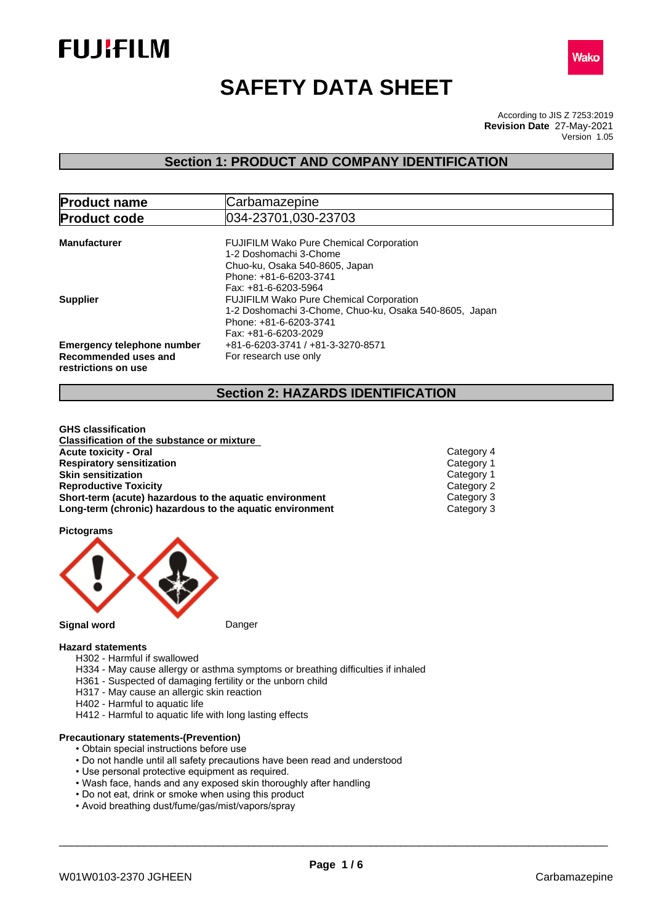



# **SAFETY DATA SHEET**

According to JIS Z 7253:2019 Version 1.05 **Revision Date** 27-May-2021

# **Section 1: PRODUCT AND COMPANY IDENTIFICATION**

| <b>Product name</b>               | Carbamazepine                                          |  |  |  |
|-----------------------------------|--------------------------------------------------------|--|--|--|
| <b>Product code</b>               | 034-23701,030-23703                                    |  |  |  |
|                                   |                                                        |  |  |  |
| <b>Manufacturer</b>               | <b>FUJIFILM Wako Pure Chemical Corporation</b>         |  |  |  |
|                                   | 1-2 Doshomachi 3-Chome                                 |  |  |  |
|                                   | Chuo-ku, Osaka 540-8605, Japan                         |  |  |  |
|                                   | Phone: +81-6-6203-3741                                 |  |  |  |
|                                   | Fax: +81-6-6203-5964                                   |  |  |  |
| <b>Supplier</b>                   | <b>FUJIFILM Wako Pure Chemical Corporation</b>         |  |  |  |
|                                   | 1-2 Doshomachi 3-Chome, Chuo-ku, Osaka 540-8605, Japan |  |  |  |
|                                   | Phone: +81-6-6203-3741                                 |  |  |  |
|                                   | Fax: +81-6-6203-2029                                   |  |  |  |
| <b>Emergency telephone number</b> | +81-6-6203-3741 / +81-3-3270-8571                      |  |  |  |
| Recommended uses and              | For research use only                                  |  |  |  |
| restrictions on use               |                                                        |  |  |  |

# **Section 2: HAZARDS IDENTIFICATION**

**GHS classification Classification of the substance or mixture Acute toxicity - Oral** Category 4 **Respiratory sensitization**<br> **Skin sensitization**<br>
Category 1 **Skin sensitization**<br> **Reproductive Toxicity**<br> **Reproductive Toxicity Reproductive Toxicity Short-term (acute) hazardous to the aquatic environment** Category 3<br> **Long-term (chronic) hazardous to the aquatic environment** Category 3 **Long-term** (chronic) hazardous to the aquatic environment

**Pictograms**



### **Hazard statements**

- H302 Harmful if swallowed
- H334 May cause allergy or asthma symptoms or breathing difficulties if inhaled
- H361 Suspected of damaging fertility or the unborn child
- H317 May cause an allergic skin reaction
- H402 Harmful to aquatic life
- H412 Harmful to aquatic life with long lasting effects

### **Precautionary statements-(Prevention)**

- Obtain special instructions before use
- Do not handle until all safety precautions have been read and understood
- Use personal protective equipment as required.
- Wash face, hands and any exposed skin thoroughly after handling
- Do not eat, drink or smoke when using this product
- Avoid breathing dust/fume/gas/mist/vapors/spray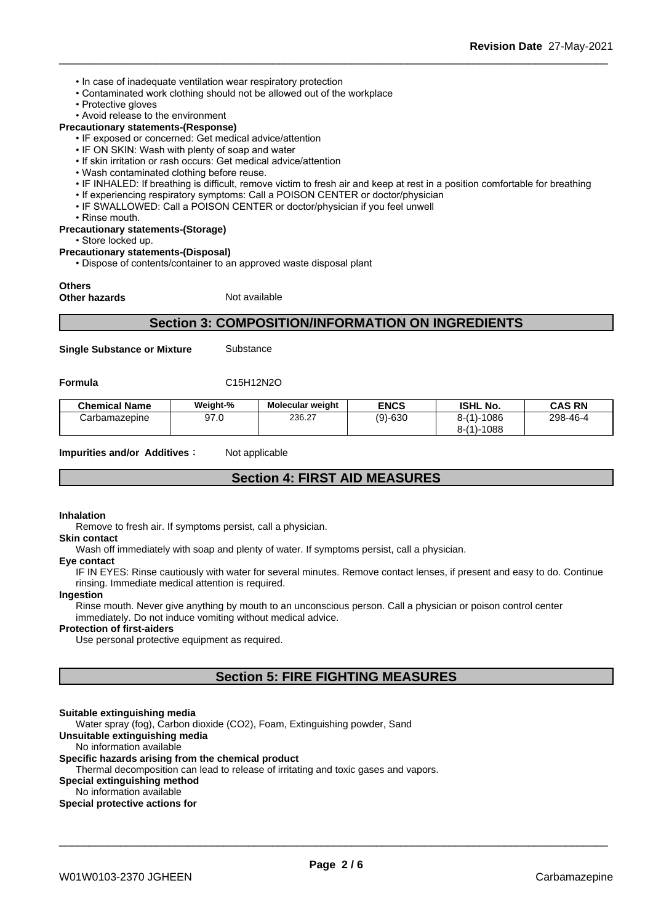- In case of inadequate ventilation wear respiratory protection
- Contaminated work clothing should not be allowed out of the workplace
- Protective gloves
- Avoid release to the environment

### **Precautionary statements-(Response)**

- IF exposed or concerned: Get medical advice/attention
- IF ON SKIN: Wash with plenty of soap and water
- If skin irritation or rash occurs: Get medical advice/attention
- Wash contaminated clothing before reuse.
- IF INHALED: If breathing is difficult, remove victim to fresh air and keep at rest in a position comfortable for breathing
- If experiencing respiratory symptoms: Call a POISON CENTER or doctor/physician
- IF SWALLOWED: Call a POISON CENTER or doctor/physician if you feel unwell
- Rinse mouth.

#### **Precautionary statements-(Storage)**

#### • Store locked up.

#### **Precautionary statements-(Disposal)**

• Dispose of contents/container to an approved waste disposal plant

### **Others**

**Other hazards** Not available

### **Section 3: COMPOSITION/INFORMATION ON INGREDIENTS**

**Single Substance or Mixture** Substance

**Formula** C15H12N2O

| <b>Chemical Name</b> | Weight-% | <b>Molecular weight</b> | <b>ENCS</b> | <b>ISHL No.</b>          | <b>CAS RN</b> |
|----------------------|----------|-------------------------|-------------|--------------------------|---------------|
| Carbamazepine        | 97.0     | 236.27                  | (9)-630     | 1086<br>$8 - (1)$<br>--- | 298-46-4      |
|                      |          |                         |             | 1088<br>$8 - (1)$<br>--- |               |

**Impurities and/or Additives CO** Not applicable

# **Section 4: FIRST AID MEASURES**

#### **Inhalation**

Remove to fresh air. If symptoms persist, call a physician.

#### **Skin contact**

Wash off immediately with soap and plenty of water. If symptoms persist, call a physician.

### **Eye contact**

IF IN EYES: Rinse cautiously with water for several minutes. Remove contact lenses, if present and easy to do. Continue rinsing. Immediate medical attention is required.

### **Ingestion**

Rinse mouth. Never give anything by mouth to an unconscious person. Call a physician or poison control center immediately. Do not induce vomiting without medical advice.

#### **Protection of first-aiders**

Use personal protective equipment as required.

# **Section 5: FIRE FIGHTING MEASURES**

#### **Suitable extinguishing media**

Water spray (fog), Carbon dioxide (CO2), Foam, Extinguishing powder, Sand

### **Unsuitable extinguishing media**

No information available

### **Specific hazards arising from the chemical product**

Thermal decomposition can lead to release of irritating and toxic gases and vapors.

### **Special extinguishing method**

No information available

### **Special protective actions for**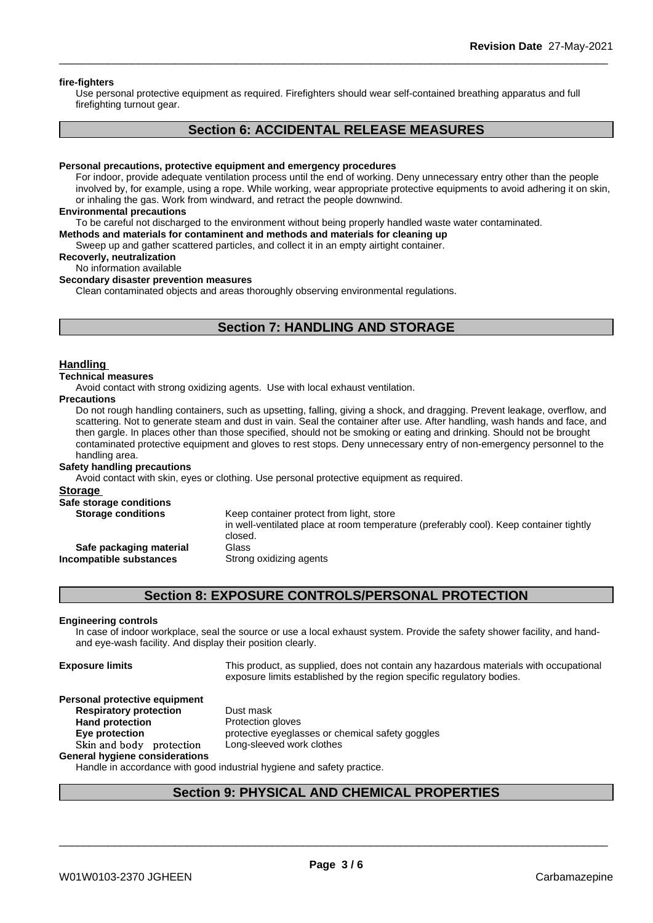#### **fire-fighters**

Use personal protective equipment as required.Firefighters should wear self-contained breathing apparatus and full firefighting turnout gear.

## **Section 6: ACCIDENTAL RELEASE MEASURES**

#### **Personal precautions, protective equipment and emergency procedures**

For indoor, provide adequate ventilation process until the end of working. Deny unnecessary entry other than the people involved by, for example, using a rope. While working, wear appropriate protective equipments to avoid adhering it on skin, or inhaling the gas. Work from windward, and retract the people downwind.

#### **Environmental precautions**

To be careful not discharged to the environment without being properly handled waste water contaminated.

### **Methods and materials for contaminent and methods and materials for cleaning up**

Sweep up and gather scattered particles, and collect it in an empty airtight container.

### **Recoverly, neutralization**

No information available

### **Secondary disaster prevention measures**

Clean contaminated objects and areas thoroughly observing environmental regulations.

### **Section 7: HANDLING AND STORAGE**

### **Handling**

### **Technical measures**

Avoid contact with strong oxidizing agents. Use with local exhaust ventilation.

#### **Precautions**

Do not rough handling containers, such as upsetting, falling, giving a shock, and dragging. Prevent leakage, overflow, and scattering. Not to generate steam and dust in vain. Seal the container after use. After handling, wash hands and face, and then gargle. In places other than those specified, should not be smoking or eating and drinking. Should not be brought contaminated protective equipment and gloves to rest stops. Deny unnecessary entry of non-emergency personnel to the handling area.

### **Safety handling precautions**

Avoid contact with skin, eyes or clothing. Use personal protective equipment as required.

### **Storage**

| Safe storage conditions   |                                                                                                   |
|---------------------------|---------------------------------------------------------------------------------------------------|
| <b>Storage conditions</b> | Keep container protect from light, store                                                          |
|                           | in well-ventilated place at room temperature (preferably cool). Keep container tightly<br>closed. |
| Safe packaging material   | Glass                                                                                             |
| Incompatible substances   | Strong oxidizing agents                                                                           |
|                           |                                                                                                   |

### **Section 8: EXPOSURE CONTROLS/PERSONAL PROTECTION**

#### **Engineering controls**

In case of indoor workplace, seal the source or use a local exhaust system. Provide the safety shower facility, and handand eye-wash facility. And display their position clearly.

**Exposure limits** This product, as supplied, does not contain any hazardous materials with occupational exposure limits established by the region specific regulatory bodies.

\_\_\_\_\_\_\_\_\_\_\_\_\_\_\_\_\_\_\_\_\_\_\_\_\_\_\_\_\_\_\_\_\_\_\_\_\_\_\_\_\_\_\_\_\_\_\_\_\_\_\_\_\_\_\_\_\_\_\_\_\_\_\_\_\_\_\_\_\_\_\_\_\_\_\_\_\_\_\_\_\_\_\_\_\_\_\_\_\_\_

#### **Personal protective equipment Respiratory protection** Dust mask

**Hand protection** Protection gloves **Eye protection Eye protective** eyeglasses or chemical safety goggles **Skinandbody protection** Long-sleeved work clothes

**General hygiene considerations**

Handle in accordance with good industrial hygiene and safety practice.

### **Section 9: PHYSICAL AND CHEMICAL PROPERTIES**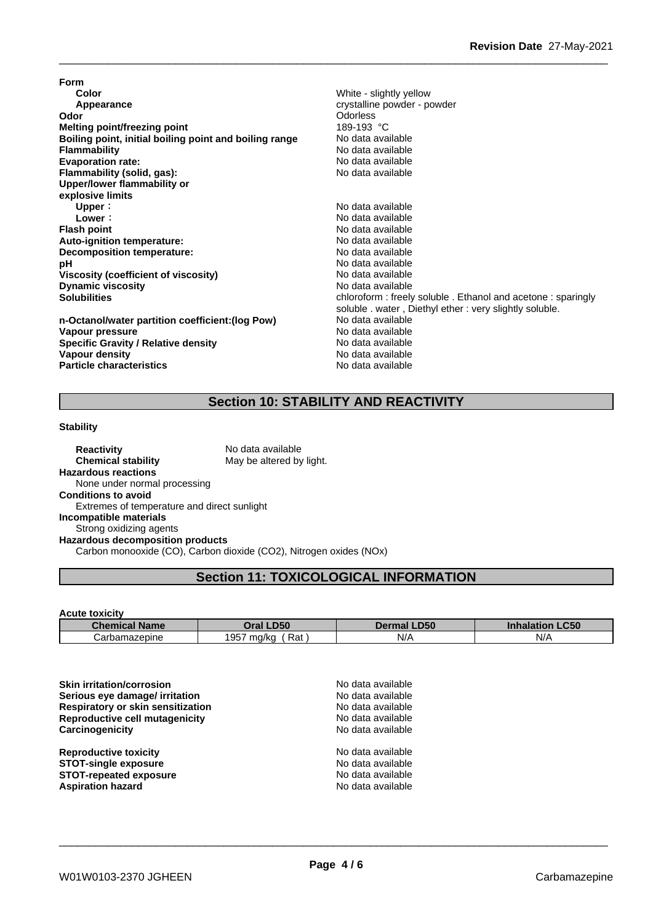**Form Color** White - slightly yellow **Appearance** crystalline powder - powder **Odor Odor Odorless Odorless Odorless Odorless Melting point/freezing point**<br>**Boiling point, initial boiling point and boiling range** No data available **Boiling** point, initial boiling point and boiling range **Flammability**<br> **Flammability**<br> **Evaporation rate:**<br> **Evaporation rate:**<br> **Evaporation rate: Evaporation** rate: **Flammability (solid, gas):** No data available **Upper/lower flammability or explosive limits Upper**: No data available **Lower**: No data available **Flash point**<br> **Auto-ignition temperature:**<br> **Auto-ignition temperature:**<br> **Auto-ignition temperature: Auto-ignition temperature: Decomposition temperature:** No data available **pH** No data available<br>Viscosity (coefficient of viscosity) No data available **Viscosity (coefficient of viscosity)** No data available<br> **Dynamic viscosity** No data available **Dynamic viscosity**<br>Solubilities

**n-Octanol/water partition coefficient:(log Pow) No data available<br>
<b>Vapour pressure** No data available **Vapour pressure**<br> **Specific Gravity / Relative density**<br>
Specific Gravity / Relative density<br>
No data available **Specific Gravity / Relative density Vapour density Particle characteristics** No data available

chloroform : freely soluble . Ethanol and acetone : sparingly soluble . water , Diethyl ether : very slightly soluble.<br>No data available **No data available** 

# **Section 10: STABILITY AND REACTIVITY**

### **Stability**

**Reactivity** No data available **Chemical stability** May be altered by light. **Hazardous reactions** None under normal processing **Conditions to avoid** Extremes of temperature and direct sunlight **Incompatible materials** Strong oxidizing agents **Hazardous decomposition products**

Carbon monooxide (CO), Carbon dioxide (CO2), Nitrogen oxides (NOx)

# **Section 11: TOXICOLOGICAL INFORMATION**

### **Acute toxicity**

| Chem<br><b>Name</b><br>emira | <b>D50</b><br>Oral '            | <b>_D50</b><br>$\mathbf{m}$<br>mа | $\sim$ $\sim$<br>Innaiau<br>.uou |
|------------------------------|---------------------------------|-----------------------------------|----------------------------------|
| zepine<br>⊖arbam<br>∃id∠     | 10F<br>Rat<br>ma/ka<br>ا ب<br>. | N/F                               | N/<br>,,,                        |

| <b>Skin irritation/corrosion</b><br>Serious eye damage/ irritation<br>Respiratory or skin sensitization<br>Reproductive cell mutagenicity | No data available<br>No data available<br>No data available<br>No data available |  |
|-------------------------------------------------------------------------------------------------------------------------------------------|----------------------------------------------------------------------------------|--|
| Carcinogenicity                                                                                                                           | No data available                                                                |  |
| <b>Reproductive toxicity</b>                                                                                                              | No data available                                                                |  |
| <b>STOT-single exposure</b>                                                                                                               | No data available                                                                |  |
| <b>STOT-repeated exposure</b>                                                                                                             | No data available                                                                |  |
| <b>Aspiration hazard</b>                                                                                                                  | No data available                                                                |  |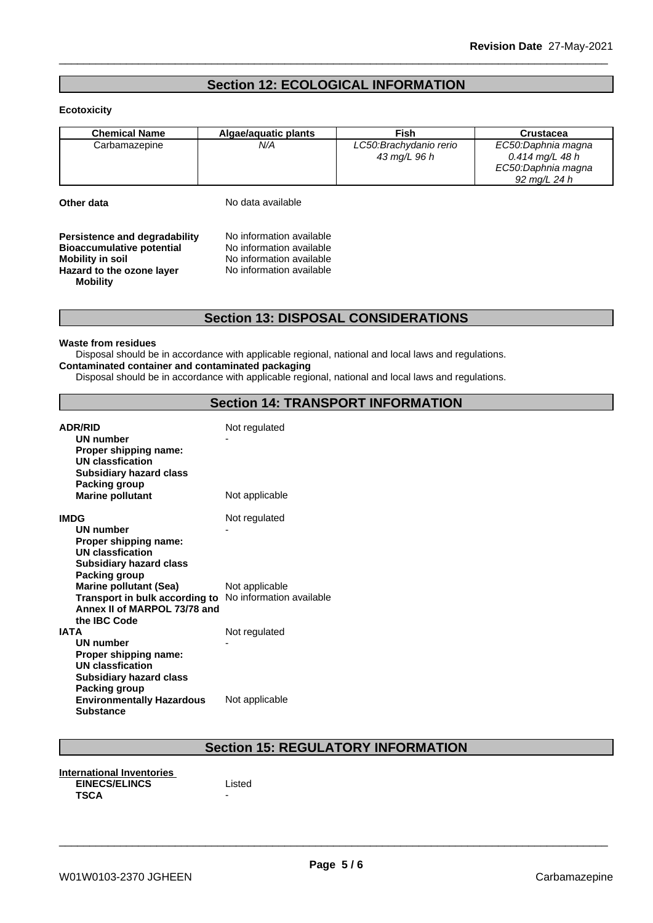# **Section 12: ECOLOGICAL INFORMATION**

### **Ecotoxicity**

| <b>Chemical Name</b> | Algae/aguatic plants | <b>Fish</b>             | Crustacea          |
|----------------------|----------------------|-------------------------|--------------------|
| Carbamazepine        | N/A                  | LC50: Brachydanio rerio | EC50:Daphnia magna |
|                      |                      | 43 mg/L 96 h            | 0.414 mg/L 48 h    |
|                      |                      |                         | EC50:Daphnia magna |
|                      |                      |                         | 92 ma/L 24 h       |

**Other data** No data available

**Persistence and degradability** No information available<br>**Bioaccumulative potential** No information available **Bioaccumulative potential<br>Mobility in soil Hazard to the ozone layer** No information available **Mobility**

**Mobility in soil** No information available

### **Section 13: DISPOSAL CONSIDERATIONS**

### **Waste from residues**

Disposal should be in accordance with applicable regional, national and local laws and regulations. **Contaminated container and contaminated packaging**

Disposal should be in accordance with applicable regional, national and local laws and regulations.

### **Section 14: TRANSPORT INFORMATION**

| <b>ADR/RID</b><br>UN number<br>Proper shipping name:<br>UN classfication<br><b>Subsidiary hazard class</b><br>Packing group                                                             | Not regulated                   |
|-----------------------------------------------------------------------------------------------------------------------------------------------------------------------------------------|---------------------------------|
| <b>Marine pollutant</b>                                                                                                                                                                 | Not applicable                  |
| <b>IMDG</b><br><b>UN number</b><br>Proper shipping name:<br><b>UN classfication</b><br><b>Subsidiary hazard class</b><br><b>Packing group</b>                                           | Not regulated                   |
| <b>Marine pollutant (Sea)</b><br><b>Transport in bulk according to</b> No information available<br>Annex II of MARPOL 73/78 and<br>the IBC Code                                         | Not applicable                  |
| <b>IATA</b><br><b>UN number</b><br>Proper shipping name:<br>UN classfication<br><b>Subsidiary hazard class</b><br>Packing group<br><b>Environmentally Hazardous</b><br><b>Substance</b> | Not regulated<br>Not applicable |

# **Section 15: REGULATORY INFORMATION**

**International Inventories EINECS/ELINCS** Listed **TSCA** -